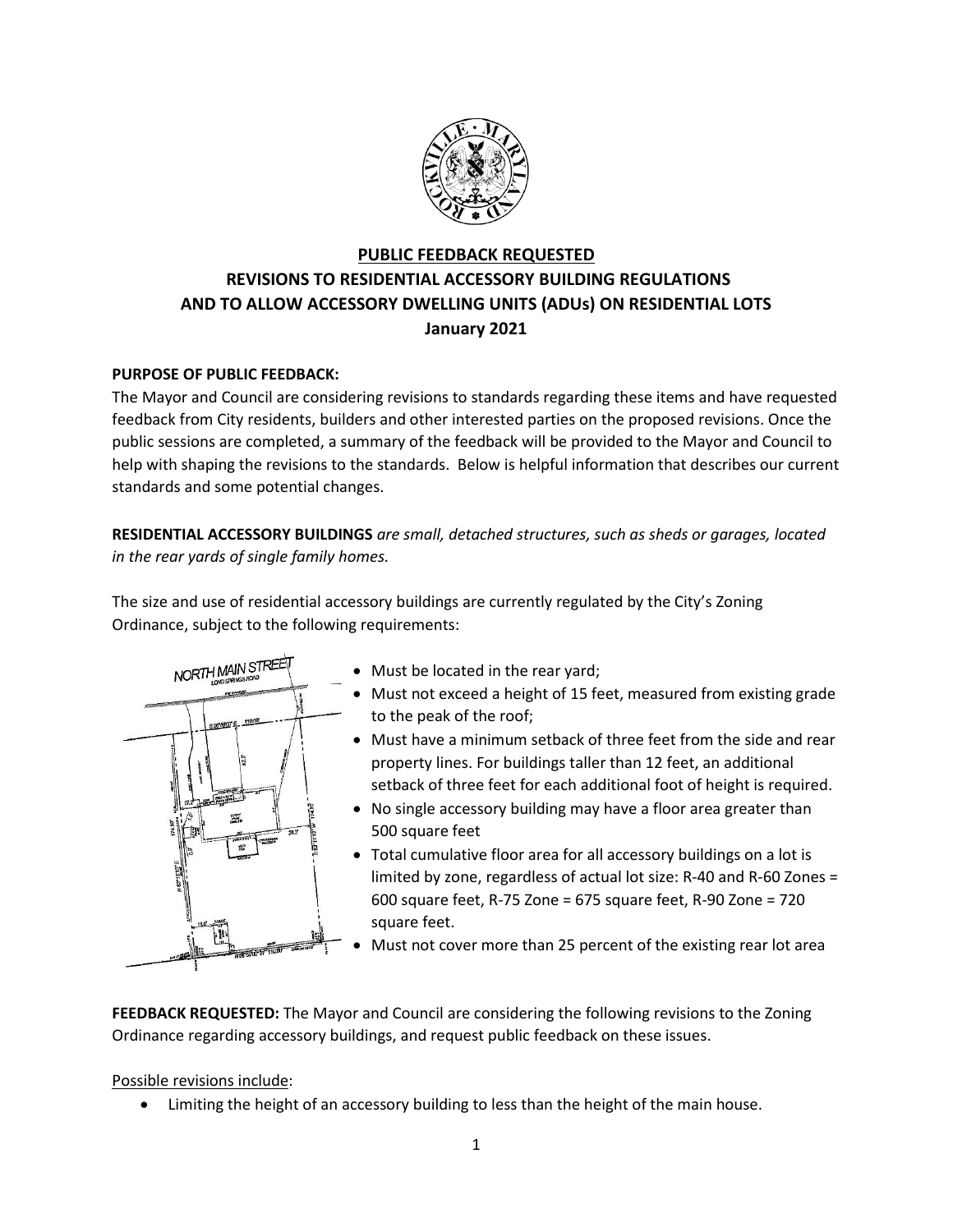

## **PUBLIC FEEDBACK REQUESTED REVISIONS TO RESIDENTIAL ACCESSORY BUILDING REGULATIONS AND TO ALLOW ACCESSORY DWELLING UNITS (ADUs) ON RESIDENTIAL LOTS January 2021**

## **PURPOSE OF PUBLIC FEEDBACK:**

The Mayor and Council are considering revisions to standards regarding these items and have requested feedback from City residents, builders and other interested parties on the proposed revisions. Once the public sessions are completed, a summary of the feedback will be provided to the Mayor and Council to help with shaping the revisions to the standards. Below is helpful information that describes our current standards and some potential changes.

**RESIDENTIAL ACCESSORY BUILDINGS** *are small, detached structures, such as sheds or garages, located in the rear yards of single family homes.*

The size and use of residential accessory buildings are currently regulated by the City's Zoning Ordinance, subject to the following requirements:



- Must be located in the rear yard;
- Must not exceed a height of 15 feet, measured from existing grade to the peak of the roof;
- Must have a minimum setback of three feet from the side and rear property lines. For buildings taller than 12 feet, an additional setback of three feet for each additional foot of height is required.
- No single accessory building may have a floor area greater than 500 square feet
- Total cumulative floor area for all accessory buildings on a lot is limited by zone, regardless of actual lot size: R-40 and R-60 Zones = 600 square feet, R-75 Zone = 675 square feet, R-90 Zone = 720 square feet.
- Must not cover more than 25 percent of the existing rear lot area

**FEEDBACK REQUESTED:** The Mayor and Council are considering the following revisions to the Zoning Ordinance regarding accessory buildings, and request public feedback on these issues.

## Possible revisions include:

Limiting the height of an accessory building to less than the height of the main house.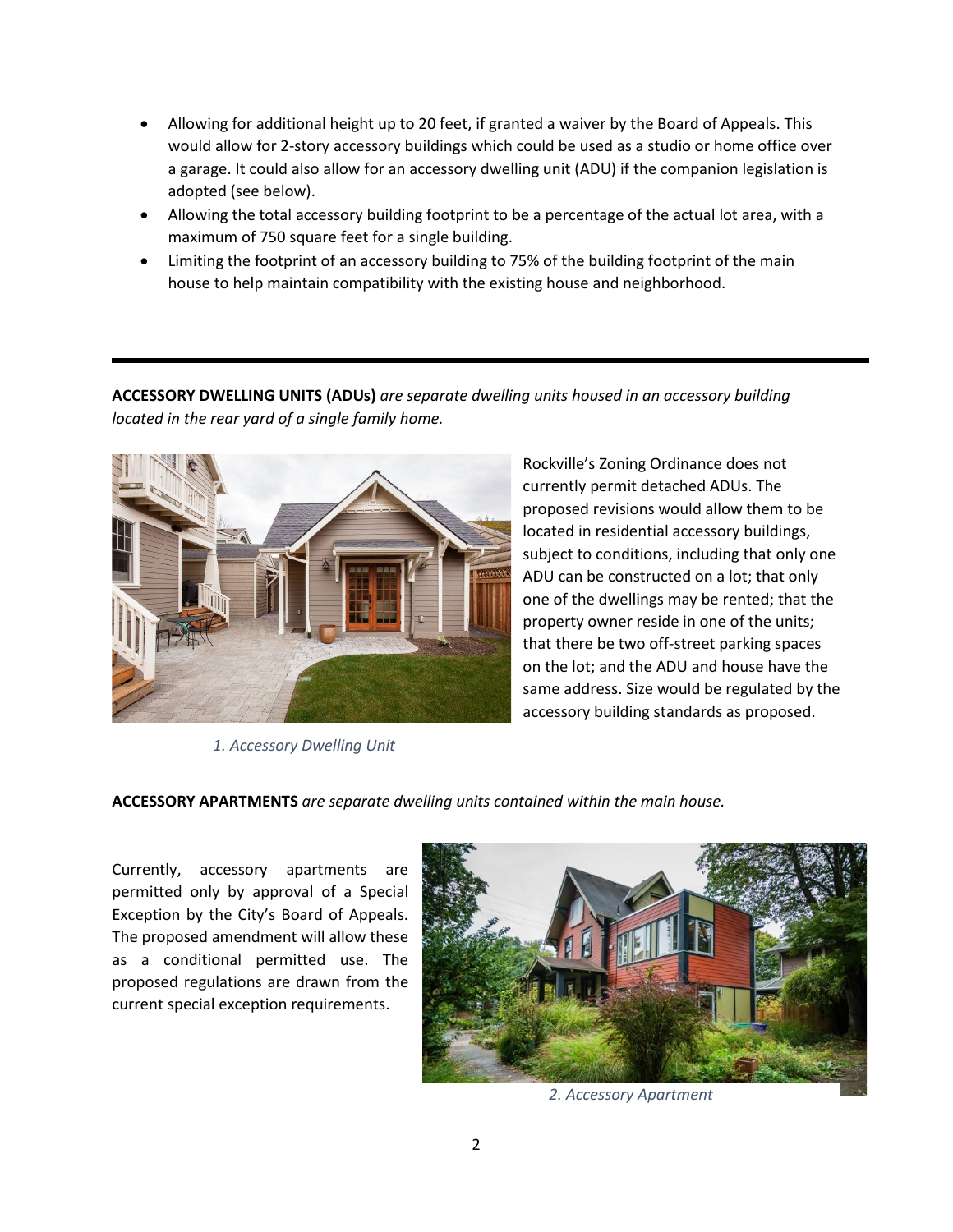- Allowing for additional height up to 20 feet, if granted a waiver by the Board of Appeals. This would allow for 2-story accessory buildings which could be used as a studio or home office over a garage. It could also allow for an accessory dwelling unit (ADU) if the companion legislation is adopted (see below).
- Allowing the total accessory building footprint to be a percentage of the actual lot area, with a maximum of 750 square feet for a single building.
- Limiting the footprint of an accessory building to 75% of the building footprint of the main house to help maintain compatibility with the existing house and neighborhood.

**ACCESSORY DWELLING UNITS (ADUs)** *are separate dwelling units housed in an accessory building located in the rear yard of a single family home.*



*1. Accessory Dwelling Unit*

Rockville's Zoning Ordinance does not currently permit detached ADUs. The proposed revisions would allow them to be located in residential accessory buildings, subject to conditions, including that only one ADU can be constructed on a lot; that only one of the dwellings may be rented; that the property owner reside in one of the units; that there be two off-street parking spaces on the lot; and the ADU and house have the same address. Size would be regulated by the accessory building standards as proposed.

**ACCESSORY APARTMENTS** *are separate dwelling units contained within the main house.*

Currently, accessory apartments are permitted only by approval of a Special Exception by the City's Board of Appeals. The proposed amendment will allow these as a conditional permitted use. The proposed regulations are drawn from the current special exception requirements.



*2. Accessory Apartment*